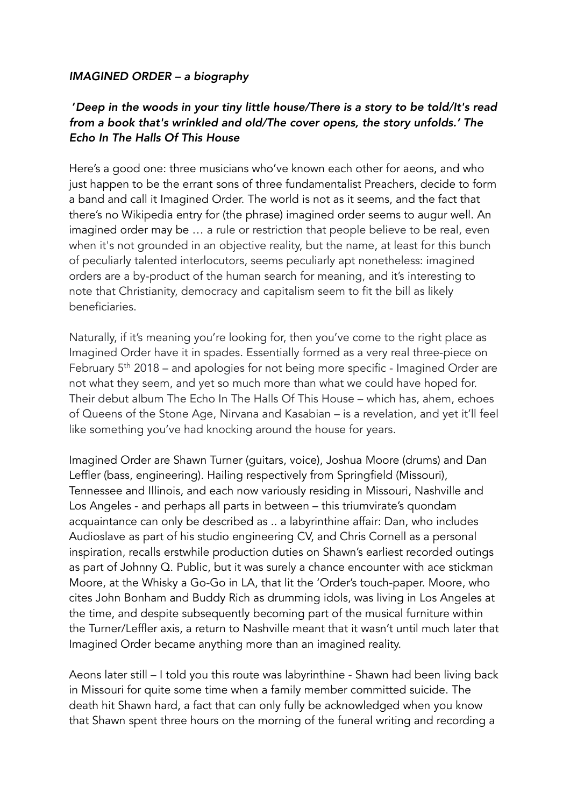## *IMAGINED ORDER – a biography*

## '*Deep in the woods in your tiny little house/There is a story to be told/It's read from a book that's wrinkled and old/The cover opens, the story unfolds.' The Echo In The Halls Of This House*

Here's a good one: three musicians who've known each other for aeons, and who just happen to be the errant sons of three fundamentalist Preachers, decide to form a band and call it Imagined Order. The world is not as it seems, and the fact that there's no Wikipedia entry for (the phrase) imagined order seems to augur well. An imagined order may be … a rule or restriction that people believe to be real, even when it's not grounded in an objective reality, but the name, at least for this bunch of peculiarly talented interlocutors, seems peculiarly apt nonetheless: imagined orders are a by-product of the human search for meaning, and it's interesting to note that Christianity, democracy and capitalism seem to fit the bill as likely beneficiaries.

Naturally, if it's meaning you're looking for, then you've come to the right place as Imagined Order have it in spades. Essentially formed as a very real three-piece on February 5th 2018 – and apologies for not being more specific - Imagined Order are not what they seem, and yet so much more than what we could have hoped for. Their debut album The Echo In The Halls Of This House – which has, ahem, echoes of Queens of the Stone Age, Nirvana and Kasabian – is a revelation, and yet it'll feel like something you've had knocking around the house for years.

Imagined Order are Shawn Turner (guitars, voice), Joshua Moore (drums) and Dan Leffler (bass, engineering). Hailing respectively from Springfield (Missouri), Tennessee and Illinois, and each now variously residing in Missouri, Nashville and Los Angeles - and perhaps all parts in between – this triumvirate's quondam acquaintance can only be described as .. a labyrinthine affair: Dan, who includes Audioslave as part of his studio engineering CV, and Chris Cornell as a personal inspiration, recalls erstwhile production duties on Shawn's earliest recorded outings as part of Johnny Q. Public, but it was surely a chance encounter with ace stickman Moore, at the Whisky a Go-Go in LA, that lit the 'Order's touch-paper. Moore, who cites John Bonham and Buddy Rich as drumming idols, was living in Los Angeles at the time, and despite subsequently becoming part of the musical furniture within the Turner/Leffler axis, a return to Nashville meant that it wasn't until much later that Imagined Order became anything more than an imagined reality.

Aeons later still – I told you this route was labyrinthine - Shawn had been living back in Missouri for quite some time when a family member committed suicide. The death hit Shawn hard, a fact that can only fully be acknowledged when you know that Shawn spent three hours on the morning of the funeral writing and recording a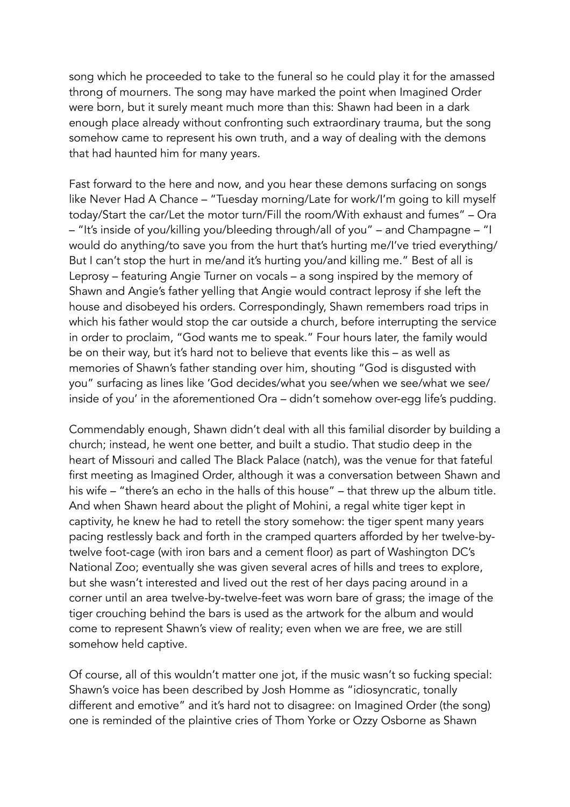song which he proceeded to take to the funeral so he could play it for the amassed throng of mourners. The song may have marked the point when Imagined Order were born, but it surely meant much more than this: Shawn had been in a dark enough place already without confronting such extraordinary trauma, but the song somehow came to represent his own truth, and a way of dealing with the demons that had haunted him for many years.

Fast forward to the here and now, and you hear these demons surfacing on songs like Never Had A Chance – "Tuesday morning/Late for work/I'm going to kill myself today/Start the car/Let the motor turn/Fill the room/With exhaust and fumes" – Ora – "It's inside of you/killing you/bleeding through/all of you" – and Champagne – "I would do anything/to save you from the hurt that's hurting me/I've tried everything/ But I can't stop the hurt in me/and it's hurting you/and killing me." Best of all is Leprosy – featuring Angie Turner on vocals – a song inspired by the memory of Shawn and Angie's father yelling that Angie would contract leprosy if she left the house and disobeyed his orders. Correspondingly, Shawn remembers road trips in which his father would stop the car outside a church, before interrupting the service in order to proclaim, "God wants me to speak." Four hours later, the family would be on their way, but it's hard not to believe that events like this – as well as memories of Shawn's father standing over him, shouting "God is disgusted with you" surfacing as lines like 'God decides/what you see/when we see/what we see/ inside of you' in the aforementioned Ora – didn't somehow over-egg life's pudding.

Commendably enough, Shawn didn't deal with all this familial disorder by building a church; instead, he went one better, and built a studio. That studio deep in the heart of Missouri and called The Black Palace (natch), was the venue for that fateful first meeting as Imagined Order, although it was a conversation between Shawn and his wife – "there's an echo in the halls of this house" – that threw up the album title. And when Shawn heard about the plight of Mohini, a regal white tiger kept in captivity, he knew he had to retell the story somehow: the tiger spent many years pacing restlessly back and forth in the cramped quarters afforded by her twelve-bytwelve foot-cage (with iron bars and a cement floor) as part of Washington DC's National Zoo; eventually she was given several acres of hills and trees to explore, but she wasn't interested and lived out the rest of her days pacing around in a corner until an area twelve-by-twelve-feet was worn bare of grass; the image of the tiger crouching behind the bars is used as the artwork for the album and would come to represent Shawn's view of reality; even when we are free, we are still somehow held captive.

Of course, all of this wouldn't matter one jot, if the music wasn't so fucking special: Shawn's voice has been described by Josh Homme as "idiosyncratic, tonally different and emotive" and it's hard not to disagree: on Imagined Order (the song) one is reminded of the plaintive cries of Thom Yorke or Ozzy Osborne as Shawn